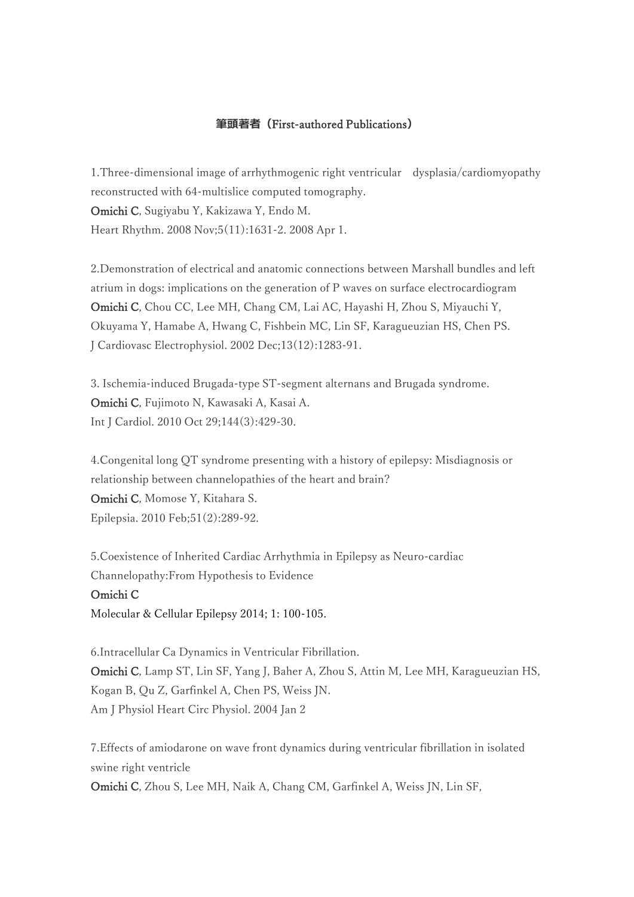## **筆頭著者(**First-authored Publications**)**

1.Three-dimensional image of arrhythmogenic right ventricular dysplasia/cardiomyopathy reconstructed with 64-multislice computed tomography. Omichi C, Sugiyabu Y, Kakizawa Y, Endo M. Heart Rhythm. 2008 Nov;5(11):1631-2. 2008 Apr 1.

2.Demonstration of electrical and anatomic connections between Marshall bundles and left atrium in dogs: implications on the generation of P waves on surface electrocardiogram Omichi C, Chou CC, Lee MH, Chang CM, Lai AC, Hayashi H, Zhou S, Miyauchi Y, Okuyama Y, Hamabe A, Hwang C, Fishbein MC, Lin SF, Karagueuzian HS, Chen PS. J Cardiovasc Electrophysiol. 2002 Dec;13(12):1283-91.

3. Ischemia-induced Brugada-type ST-segment alternans and Brugada syndrome. Omichi C, Fujimoto N, Kawasaki A, Kasai A. Int J Cardiol. 2010 Oct 29;144(3):429-30.

4.Congenital long QT syndrome presenting with a history of epilepsy: Misdiagnosis or relationship between channelopathies of the heart and brain? Omichi C, Momose Y, Kitahara S. Epilepsia. 2010 Feb;51(2):289-92.

5.Coexistence of Inherited Cardiac Arrhythmia in Epilepsy as Neuro-cardiac Channelopathy:From Hypothesis to Evidence

## Omichi C

Molecular & Cellular Epilepsy 2014; 1: 100-105.

6.Intracellular Ca Dynamics in Ventricular Fibrillation. Omichi C, Lamp ST, Lin SF, Yang J, Baher A, Zhou S, Attin M, Lee MH, Karagueuzian HS, Kogan B, Qu Z, Garfinkel A, Chen PS, Weiss JN. Am J Physiol Heart Circ Physiol. 2004 Jan 2

7.Effects of amiodarone on wave front dynamics during ventricular fibrillation in isolated swine right ventricle

Omichi C, Zhou S, Lee MH, Naik A, Chang CM, Garfinkel A, Weiss JN, Lin SF,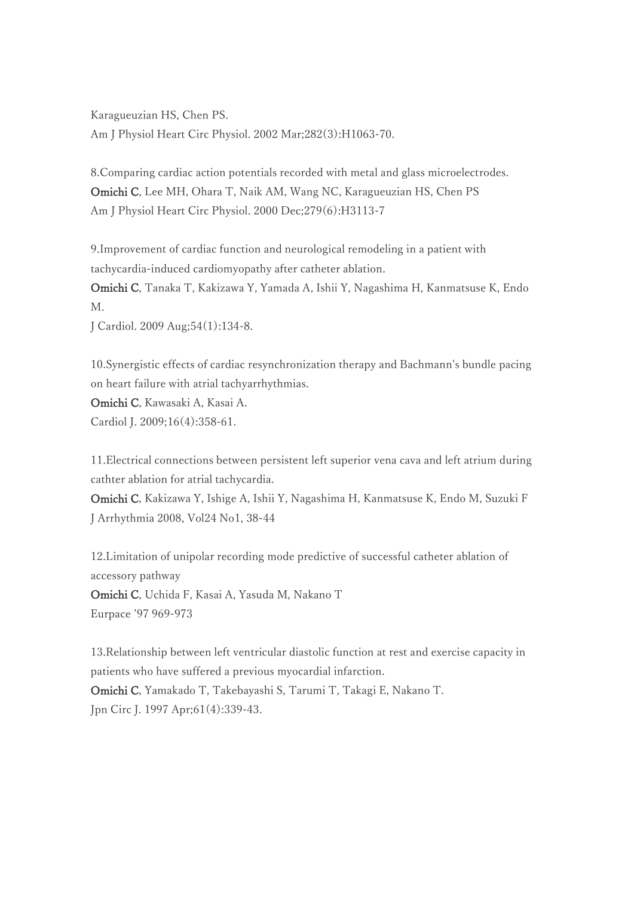Karagueuzian HS, Chen PS. Am J Physiol Heart Circ Physiol. 2002 Mar;282(3):H1063-70.

8.Comparing cardiac action potentials recorded with metal and glass microelectrodes. Omichi C, Lee MH, Ohara T, Naik AM, Wang NC, Karagueuzian HS, Chen PS Am J Physiol Heart Circ Physiol. 2000 Dec;279(6):H3113-7

9.Improvement of cardiac function and neurological remodeling in a patient with tachycardia-induced cardiomyopathy after catheter ablation.

Omichi C, Tanaka T, Kakizawa Y, Yamada A, Ishii Y, Nagashima H, Kanmatsuse K, Endo M.

J Cardiol. 2009 Aug;54(1):134-8.

10.Synergistic effects of cardiac resynchronization therapy and Bachmann's bundle pacing on heart failure with atrial tachyarrhythmias.

Omichi C, Kawasaki A, Kasai A.

Cardiol J. 2009;16(4):358-61.

11.Electrical connections between persistent left superior vena cava and left atrium during cathter ablation for atrial tachycardia.

Omichi C, Kakizawa Y, Ishige A, Ishii Y, Nagashima H, Kanmatsuse K, Endo M, Suzuki F J Arrhythmia 2008, Vol24 No1, 38-44

12.Limitation of unipolar recording mode predictive of successful catheter ablation of accessory pathway

Omichi C, Uchida F, Kasai A, Yasuda M, Nakano T Eurpace '97 969-973

13.Relationship between left ventricular diastolic function at rest and exercise capacity in patients who have suffered a previous myocardial infarction. Omichi C, Yamakado T, Takebayashi S, Tarumi T, Takagi E, Nakano T. Jpn Circ J. 1997 Apr;61(4):339-43.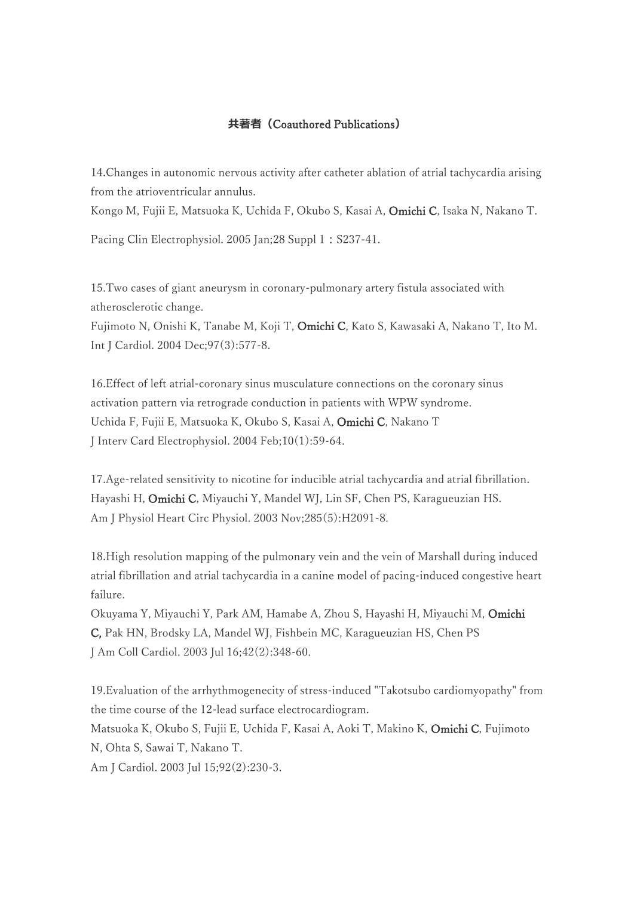## **共著者(**Coauthored Publications**)**

14.Changes in autonomic nervous activity after catheter ablation of atrial tachycardia arising from the atrioventricular annulus.

Kongo M, Fujii E, Matsuoka K, Uchida F, Okubo S, Kasai A, Omichi C, Isaka N, Nakano T.

Pacing Clin Electrophysiol. 2005 Jan; 28 Suppl 1: S237-41.

15.Two cases of giant aneurysm in coronary-pulmonary artery fistula associated with atherosclerotic change.

Fujimoto N, Onishi K, Tanabe M, Koji T, Omichi C, Kato S, Kawasaki A, Nakano T, Ito M. Int J Cardiol. 2004 Dec;97(3):577-8.

16.Effect of left atrial-coronary sinus musculature connections on the coronary sinus activation pattern via retrograde conduction in patients with WPW syndrome. Uchida F, Fujii E, Matsuoka K, Okubo S, Kasai A, Omichi C, Nakano T J Interv Card Electrophysiol. 2004 Feb;10(1):59-64.

17.Age-related sensitivity to nicotine for inducible atrial tachycardia and atrial fibrillation. Hayashi H, Omichi C, Miyauchi Y, Mandel WJ, Lin SF, Chen PS, Karagueuzian HS. Am J Physiol Heart Circ Physiol. 2003 Nov;285(5):H2091-8.

18.High resolution mapping of the pulmonary vein and the vein of Marshall during induced atrial fibrillation and atrial tachycardia in a canine model of pacing-induced congestive heart failure.

Okuyama Y, Miyauchi Y, Park AM, Hamabe A, Zhou S, Hayashi H, Miyauchi M, Omichi C, Pak HN, Brodsky LA, Mandel WJ, Fishbein MC, Karagueuzian HS, Chen PS J Am Coll Cardiol. 2003 Jul 16;42(2):348-60.

19.Evaluation of the arrhythmogenecity of stress-induced "Takotsubo cardiomyopathy" from the time course of the 12-lead surface electrocardiogram.

Matsuoka K, Okubo S, Fujii E, Uchida F, Kasai A, Aoki T, Makino K, Omichi C, Fujimoto N, Ohta S, Sawai T, Nakano T.

Am J Cardiol. 2003 Jul 15;92(2):230-3.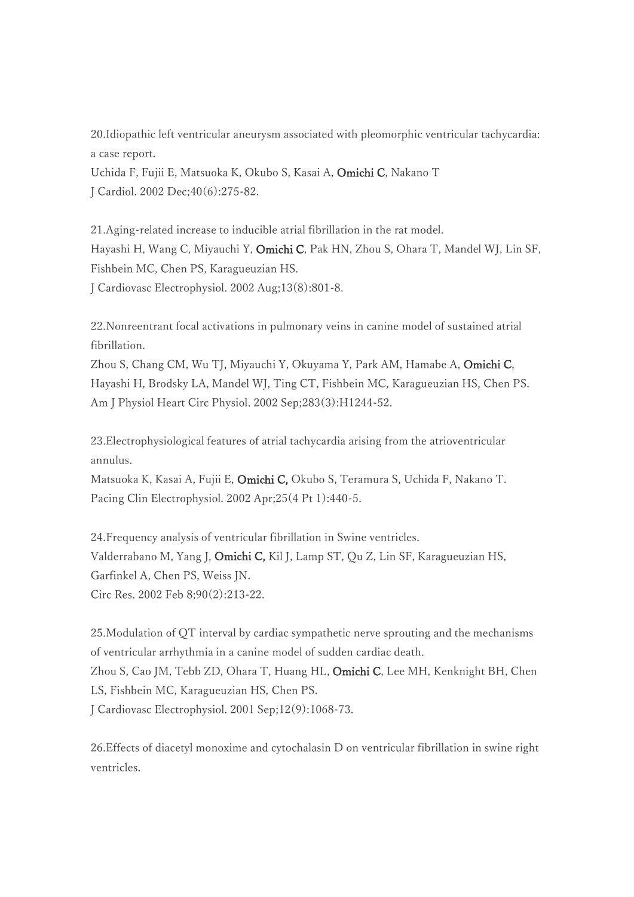20.Idiopathic left ventricular aneurysm associated with pleomorphic ventricular tachycardia: a case report.

Uchida F, Fujii E, Matsuoka K, Okubo S, Kasai A, Omichi C, Nakano T J Cardiol. 2002 Dec;40(6):275-82.

21.Aging-related increase to inducible atrial fibrillation in the rat model. Hayashi H, Wang C, Miyauchi Y, Omichi C, Pak HN, Zhou S, Ohara T, Mandel WJ, Lin SF, Fishbein MC, Chen PS, Karagueuzian HS. J Cardiovasc Electrophysiol. 2002 Aug;13(8):801-8.

22.Nonreentrant focal activations in pulmonary veins in canine model of sustained atrial fibrillation.

Zhou S, Chang CM, Wu TJ, Miyauchi Y, Okuyama Y, Park AM, Hamabe A, Omichi C, Hayashi H, Brodsky LA, Mandel WJ, Ting CT, Fishbein MC, Karagueuzian HS, Chen PS. Am J Physiol Heart Circ Physiol. 2002 Sep;283(3):H1244-52.

23.Electrophysiological features of atrial tachycardia arising from the atrioventricular annulus.

Matsuoka K, Kasai A, Fujii E, Omichi C, Okubo S, Teramura S, Uchida F, Nakano T. Pacing Clin Electrophysiol. 2002 Apr;25(4 Pt 1):440-5.

24.Frequency analysis of ventricular fibrillation in Swine ventricles. Valderrabano M, Yang J, Omichi C, Kil J, Lamp ST, Qu Z, Lin SF, Karagueuzian HS, Garfinkel A, Chen PS, Weiss JN. Circ Res. 2002 Feb 8;90(2):213-22.

25.Modulation of QT interval by cardiac sympathetic nerve sprouting and the mechanisms of ventricular arrhythmia in a canine model of sudden cardiac death. Zhou S, Cao JM, Tebb ZD, Ohara T, Huang HL, Omichi C, Lee MH, Kenknight BH, Chen LS, Fishbein MC, Karagueuzian HS, Chen PS. J Cardiovasc Electrophysiol. 2001 Sep;12(9):1068-73.

26.Effects of diacetyl monoxime and cytochalasin D on ventricular fibrillation in swine right ventricles.